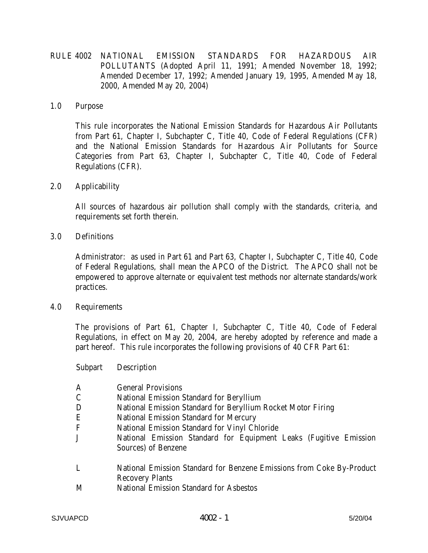RULE 4002 NATIONAL EMISSION STANDARDS FOR HAZARDOUS AIR POLLUTANTS (Adopted April 11, 1991; Amended November 18, 1992; Amended December 17, 1992; Amended January 19, 1995, Amended May 18, 2000, Amended May 20, 2004)

## 1.0 Purpose

 This rule incorporates the National Emission Standards for Hazardous Air Pollutants from Part 61, Chapter I, Subchapter C, Title 40, Code of Federal Regulations (CFR) and the National Emission Standards for Hazardous Air Pollutants for Source Categories from Part 63, Chapter I, Subchapter C, Title 40, Code of Federal Regulations (CFR).

2.0 Applicability

 All sources of hazardous air pollution shall comply with the standards, criteria, and requirements set forth therein.

3.0 Definitions

 Administrator: as used in Part 61 and Part 63, Chapter I, Subchapter C, Title 40, Code of Federal Regulations, shall mean the APCO of the District. The APCO shall not be empowered to approve alternate or equivalent test methods nor alternate standards/work practices.

4.0 Requirements

The provisions of Part 61, Chapter I, Subchapter C, Title 40, Code of Federal Regulations, in effect on May 20, 2004, are hereby adopted by reference and made a part hereof. This rule incorporates the following provisions of 40 CFR Part 61:

Subpart Description

| A           | <b>General Provisions</b>                                             |
|-------------|-----------------------------------------------------------------------|
| $\mathsf C$ | <b>National Emission Standard for Beryllium</b>                       |
| D           | National Emission Standard for Beryllium Rocket Motor Firing          |
| E           | <b>National Emission Standard for Mercury</b>                         |
| F           | National Emission Standard for Vinyl Chloride                         |
| J           | National Emission Standard for Equipment Leaks (Fugitive Emission     |
|             | Sources) of Benzene                                                   |
| L           | National Emission Standard for Benzene Emissions from Coke By-Product |
|             | <b>Recovery Plants</b>                                                |
| <b>A</b> F  | $\mathbf{M}$ . In the case of the set of $\mathbf{M}$                 |

M National Emission Standard for Asbestos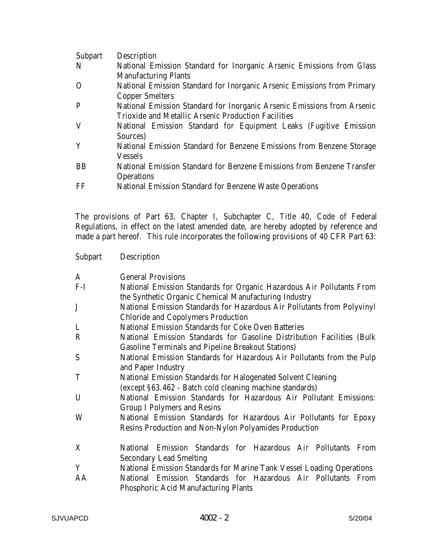| Subpart   | Description                                                             |
|-----------|-------------------------------------------------------------------------|
| N         | National Emission Standard for Inorganic Arsenic Emissions from Glass   |
|           | <b>Manufacturing Plants</b>                                             |
| $\Omega$  | National Emission Standard for Inorganic Arsenic Emissions from Primary |
|           | <b>Copper Smelters</b>                                                  |
| P         | National Emission Standard for Inorganic Arsenic Emissions from Arsenic |
|           | Trioxide and Metallic Arsenic Production Facilities                     |
| V         | National Emission Standard for Equipment Leaks (Fugitive Emission       |
|           | Sources)                                                                |
| Y         | National Emission Standard for Benzene Emissions from Benzene Storage   |
|           | <b>Vessels</b>                                                          |
| <b>BB</b> | National Emission Standard for Benzene Emissions from Benzene Transfer  |
|           | <b>Operations</b>                                                       |
| FF        | <b>National Emission Standard for Benzene Waste Operations</b>          |

The provisions of Part 63, Chapter I, Subchapter C, Title 40, Code of Federal Regulations, in effect on the latest amended date, are hereby adopted by reference and made a part hereof. This rule incorporates the following provisions of 40 CFR Part 63:

| <b>Subpart</b> | Description                                                             |
|----------------|-------------------------------------------------------------------------|
| A              | <b>General Provisions</b>                                               |
| $F-I$          | National Emission Standards for Organic Hazardous Air Pollutants From   |
|                | the Synthetic Organic Chemical Manufacturing Industry                   |
| $\mathbf{J}$   | National Emission Standards for Hazardous Air Pollutants from Polyvinyl |
|                | <b>Chloride and Copolymers Production</b>                               |
| L              | <b>National Emission Standards for Coke Oven Batteries</b>              |
| $\mathbf R$    | National Emission Standards for Gasoline Distribution Facilities (Bulk  |
|                | <b>Gasoline Terminals and Pipeline Breakout Stations)</b>               |
| S              | National Emission Standards for Hazardous Air Pollutants from the Pulp  |
|                | and Paper Industry                                                      |
| T              | <b>National Emission Standards for Halogenated Solvent Cleaning</b>     |
|                | (except §63.462 - Batch cold cleaning machine standards)                |
| U              | National Emission Standards for Hazardous Air Pollutant Emissions:      |
|                | <b>Group I Polymers and Resins</b>                                      |
| W              | National Emission Standards for Hazardous Air Pollutants for Epoxy      |
|                | Resins Production and Non-Nylon Polyamides Production                   |
| X              | National Emission Standards for Hazardous Air Pollutants From           |
|                | <b>Secondary Lead Smelting</b>                                          |
| Y              | National Emission Standards for Marine Tank Vessel Loading Operations   |
| AA             | National Emission Standards for Hazardous Air Pollutants From           |
|                | <b>Phosphoric Acid Manufacturing Plants</b>                             |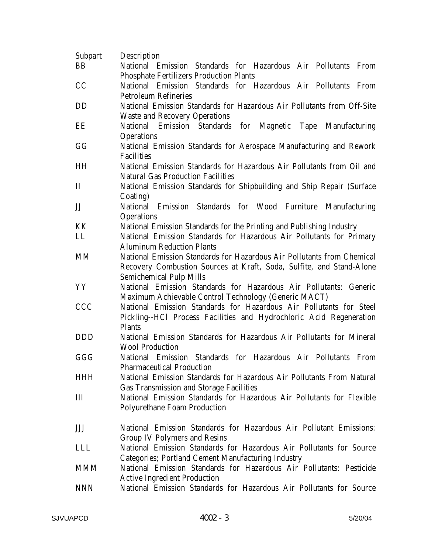| <b>Subpart</b> | Description                                                                                                                                                                      |
|----------------|----------------------------------------------------------------------------------------------------------------------------------------------------------------------------------|
| BB             | National Emission Standards for Hazardous Air Pollutants From                                                                                                                    |
|                | <b>Phosphate Fertilizers Production Plants</b>                                                                                                                                   |
| CC             | National Emission Standards for Hazardous Air Pollutants From                                                                                                                    |
|                | <b>Petroleum Refineries</b>                                                                                                                                                      |
| DD             | National Emission Standards for Hazardous Air Pollutants from Off-Site                                                                                                           |
|                | <b>Waste and Recovery Operations</b>                                                                                                                                             |
| EE             | National Emission Standards for Magnetic Tape Manufacturing<br><b>Operations</b>                                                                                                 |
| GG             | National Emission Standards for Aerospace Manufacturing and Rework<br><b>Facilities</b>                                                                                          |
| <b>HH</b>      | National Emission Standards for Hazardous Air Pollutants from Oil and<br><b>Natural Gas Production Facilities</b>                                                                |
| $\mathbf{I}$   | National Emission Standards for Shipbuilding and Ship Repair (Surface                                                                                                            |
| JJ             | Coating)<br>National Emission Standards for Wood Furniture Manufacturing<br><b>Operations</b>                                                                                    |
| KK             | National Emission Standards for the Printing and Publishing Industry                                                                                                             |
| LL             | National Emission Standards for Hazardous Air Pollutants for Primary<br><b>Aluminum Reduction Plants</b>                                                                         |
| MM             | National Emission Standards for Hazardous Air Pollutants from Chemical<br>Recovery Combustion Sources at Kraft, Soda, Sulfite, and Stand-Alone<br><b>Semichemical Pulp Mills</b> |
| YY             | National Emission Standards for Hazardous Air Pollutants: Generic<br>Maximum Achievable Control Technology (Generic MACT)                                                        |
| <b>CCC</b>     | National Emission Standards for Hazardous Air Pollutants for Steel<br>Pickling--HCl Process Facilities and Hydrochloric Acid Regeneration<br><b>Plants</b>                       |
| <b>DDD</b>     | National Emission Standards for Hazardous Air Pollutants for Mineral<br><b>Wool Production</b>                                                                                   |
| GGG            | National Emission Standards for Hazardous Air Pollutants From<br><b>Pharmaceutical Production</b>                                                                                |
| <b>HHH</b>     | National Emission Standards for Hazardous Air Pollutants From Natural<br><b>Gas Transmission and Storage Facilities</b>                                                          |
| Ш              | National Emission Standards for Hazardous Air Pollutants for Flexible<br><b>Polyurethane Foam Production</b>                                                                     |
| JJJ            | National Emission Standards for Hazardous Air Pollutant Emissions:<br><b>Group IV Polymers and Resins</b>                                                                        |
| <b>LLL</b>     | National Emission Standards for Hazardous Air Pollutants for Source<br><b>Categories</b> ; Portland Cement Manufacturing Industry                                                |
| <b>MMM</b>     | National Emission Standards for Hazardous Air Pollutants: Pesticide<br><b>Active Ingredient Production</b>                                                                       |
| <b>NNN</b>     | National Emission Standards for Hazardous Air Pollutants for Source                                                                                                              |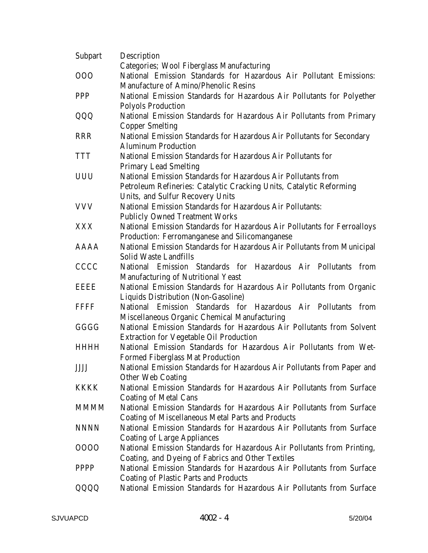| <b>Subpart</b> | Description                                                                                          |
|----------------|------------------------------------------------------------------------------------------------------|
|                | Categories; Wool Fiberglass Manufacturing                                                            |
| 000            | National Emission Standards for Hazardous Air Pollutant Emissions:                                   |
|                | Manufacture of Amino/Phenolic Resins                                                                 |
| <b>PPP</b>     | National Emission Standards for Hazardous Air Pollutants for Polyether                               |
|                | <b>Polyols Production</b>                                                                            |
| QQQ            | National Emission Standards for Hazardous Air Pollutants from Primary                                |
|                | <b>Copper Smelting</b>                                                                               |
| <b>RRR</b>     | National Emission Standards for Hazardous Air Pollutants for Secondary                               |
|                | <b>Aluminum Production</b>                                                                           |
| <b>TTT</b>     | National Emission Standards for Hazardous Air Pollutants for                                         |
|                | <b>Primary Lead Smelting</b>                                                                         |
| <b>UUU</b>     | National Emission Standards for Hazardous Air Pollutants from                                        |
|                | Petroleum Refineries: Catalytic Cracking Units, Catalytic Reforming                                  |
|                | Units, and Sulfur Recovery Units                                                                     |
| <b>VVV</b>     | <b>National Emission Standards for Hazardous Air Pollutants:</b>                                     |
|                | <b>Publicly Owned Treatment Works</b>                                                                |
| <b>XXX</b>     | National Emission Standards for Hazardous Air Pollutants for Ferroalloys                             |
|                | Production: Ferromanganese and Silicomanganese                                                       |
| AAAA           | National Emission Standards for Hazardous Air Pollutants from Municipal                              |
|                | Solid Waste Landfills                                                                                |
| <b>CCCC</b>    | National Emission Standards for Hazardous Air Pollutants<br>from                                     |
|                |                                                                                                      |
| <b>EEEE</b>    | Manufacturing of Nutritional Yeast                                                                   |
|                | National Emission Standards for Hazardous Air Pollutants from Organic                                |
|                | Liquids Distribution (Non-Gasoline)<br>National Emission Standards for Hazardous Air Pollutants from |
| <b>FFFF</b>    |                                                                                                      |
|                | Miscellaneous Organic Chemical Manufacturing                                                         |
| GGGG           | National Emission Standards for Hazardous Air Pollutants from Solvent                                |
|                | <b>Extraction for Vegetable Oil Production</b>                                                       |
| <b>HHHH</b>    | National Emission Standards for Hazardous Air Pollutants from Wet-                                   |
|                | <b>Formed Fiberglass Mat Production</b>                                                              |
| <b>JJJJ</b>    | National Emission Standards for Hazardous Air Pollutants from Paper and                              |
|                | <b>Other Web Coating</b>                                                                             |
| <b>KKKK</b>    | National Emission Standards for Hazardous Air Pollutants from Surface                                |
|                | <b>Coating of Metal Cans</b>                                                                         |
| <b>MMMM</b>    | National Emission Standards for Hazardous Air Pollutants from Surface                                |
|                | <b>Coating of Miscellaneous Metal Parts and Products</b>                                             |
| <b>NNNN</b>    | National Emission Standards for Hazardous Air Pollutants from Surface                                |
|                | <b>Coating of Large Appliances</b>                                                                   |
| 0000           | National Emission Standards for Hazardous Air Pollutants from Printing,                              |
|                | Coating, and Dyeing of Fabrics and Other Textiles                                                    |
| <b>PPPP</b>    | National Emission Standards for Hazardous Air Pollutants from Surface                                |
|                | <b>Coating of Plastic Parts and Products</b>                                                         |
| QQQQ           | National Emission Standards for Hazardous Air Pollutants from Surface                                |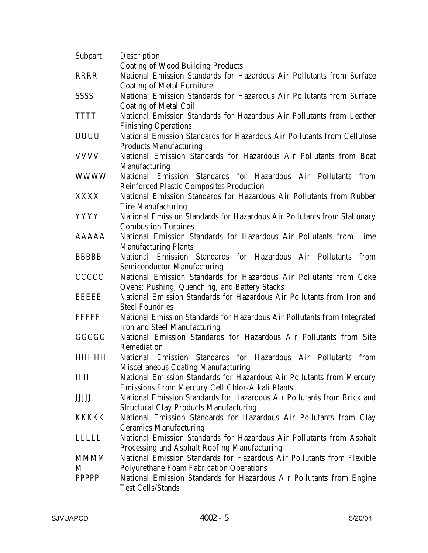| <b>Subpart</b> | Description                                                              |
|----------------|--------------------------------------------------------------------------|
|                | <b>Coating of Wood Building Products</b>                                 |
| <b>RRRR</b>    | National Emission Standards for Hazardous Air Pollutants from Surface    |
|                | <b>Coating of Metal Furniture</b>                                        |
| <b>SSSS</b>    | National Emission Standards for Hazardous Air Pollutants from Surface    |
|                | <b>Coating of Metal Coil</b>                                             |
| <b>TTTT</b>    | National Emission Standards for Hazardous Air Pollutants from Leather    |
|                | <b>Finishing Operations</b>                                              |
| <b>UUUU</b>    | National Emission Standards for Hazardous Air Pollutants from Cellulose  |
|                | <b>Products Manufacturing</b>                                            |
| <b>VVVV</b>    | National Emission Standards for Hazardous Air Pollutants from Boat       |
|                | Manufacturing                                                            |
| <b>WWWW</b>    | National Emission Standards for Hazardous Air Pollutants from            |
|                | <b>Reinforced Plastic Composites Production</b>                          |
| <b>XXXX</b>    | National Emission Standards for Hazardous Air Pollutants from Rubber     |
|                | <b>Tire Manufacturing</b>                                                |
| <b>YYYY</b>    | National Emission Standards for Hazardous Air Pollutants from Stationary |
|                | <b>Combustion Turbines</b>                                               |
| <b>AAAAA</b>   | National Emission Standards for Hazardous Air Pollutants from Lime       |
|                | <b>Manufacturing Plants</b>                                              |
| <b>BBBBB</b>   | National Emission Standards for Hazardous Air Pollutants from            |
|                | <b>Semiconductor Manufacturing</b>                                       |
| <b>CCCCC</b>   | National Emission Standards for Hazardous Air Pollutants from Coke       |
|                | Ovens: Pushing, Quenching, and Battery Stacks                            |
| EEEEE          | National Emission Standards for Hazardous Air Pollutants from Iron and   |
|                | <b>Steel Foundries</b>                                                   |
| <b>FFFFFF</b>  | National Emission Standards for Hazardous Air Pollutants from Integrated |
|                | Iron and Steel Manufacturing                                             |
| GGGGG          | National Emission Standards for Hazardous Air Pollutants from Site       |
|                | Remediation                                                              |
| <b>HHHHH</b>   | National Emission Standards for Hazardous Air Pollutants from            |
|                | Miscellaneous Coating Manufacturing                                      |
| <b>IIIII</b>   | National Emission Standards for Hazardous Air Pollutants from Mercury    |
|                | <b>Emissions From Mercury Cell Chlor-Alkali Plants</b>                   |
| <b>JJJJJ</b>   | National Emission Standards for Hazardous Air Pollutants from Brick and  |
|                | <b>Structural Clay Products Manufacturing</b>                            |
| <b>KKKKK</b>   | National Emission Standards for Hazardous Air Pollutants from Clay       |
|                | <b>Ceramics Manufacturing</b>                                            |
| LLLLL          | National Emission Standards for Hazardous Air Pollutants from Asphalt    |
|                | Processing and Asphalt Roofing Manufacturing                             |
| <b>MMMM</b>    | National Emission Standards for Hazardous Air Pollutants from Flexible   |
| M              | <b>Polyurethane Foam Fabrication Operations</b>                          |
| <b>PPPPP</b>   | National Emission Standards for Hazardous Air Pollutants from Engine     |
|                | <b>Test Cells/Stands</b>                                                 |